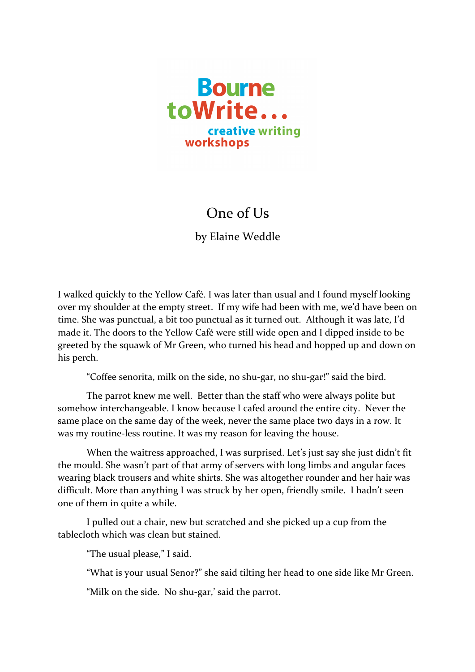

## One of Us

by Elaine Weddle

I walked quickly to the Yellow Café. I was later than usual and I found myself looking over my shoulder at the empty street. If my wife had been with me, we'd have been on time. She was punctual, a bit too punctual as it turned out. Although it was late, I'd made it. The doors to the Yellow Café were still wide open and I dipped inside to be greeted by the squawk of Mr Green, who turned his head and hopped up and down on his perch. 

"Coffee senorita, milk on the side, no shu-gar, no shu-gar!" said the bird.

The parrot knew me well. Better than the staff who were always polite but somehow interchangeable. I know because I cafed around the entire city. Never the same place on the same day of the week, never the same place two days in a row. It was my routine-less routine. It was my reason for leaving the house.

When the waitress approached, I was surprised. Let's just say she just didn't fit the mould. She wasn't part of that army of servers with long limbs and angular faces wearing black trousers and white shirts. She was altogether rounder and her hair was difficult. More than anything I was struck by her open, friendly smile. I hadn't seen one of them in quite a while.

I pulled out a chair, new but scratched and she picked up a cup from the tablecloth which was clean but stained.

"The usual please," I said.

"What is your usual Senor?" she said tilting her head to one side like Mr Green.

"Milk on the side. No shu-gar,' said the parrot.